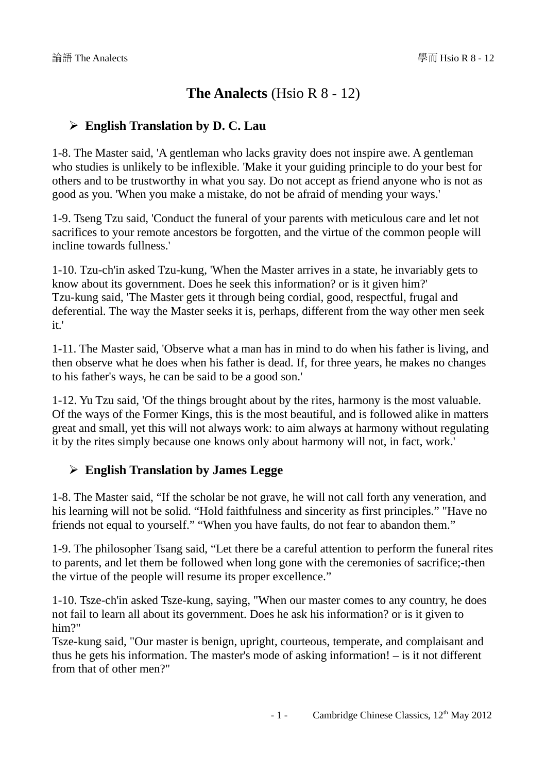# **The Analects** (Hsio R 8 - 12)

### ➢ **English Translation by D. C. Lau**

1-8. The Master said, 'A gentleman who lacks gravity does not inspire awe. A gentleman who studies is unlikely to be inflexible. 'Make it your guiding principle to do your best for others and to be trustworthy in what you say. Do not accept as friend anyone who is not as good as you. 'When you make a mistake, do not be afraid of mending your ways.'

1-9. Tseng Tzu said, 'Conduct the funeral of your parents with meticulous care and let not sacrifices to your remote ancestors be forgotten, and the virtue of the common people will incline towards fullness.'

1-10. Tzu-ch'in asked Tzu-kung, 'When the Master arrives in a state, he invariably gets to know about its government. Does he seek this information? or is it given him?' Tzu-kung said, 'The Master gets it through being cordial, good, respectful, frugal and deferential. The way the Master seeks it is, perhaps, different from the way other men seek it.'

1-11. The Master said, 'Observe what a man has in mind to do when his father is living, and then observe what he does when his father is dead. If, for three years, he makes no changes to his father's ways, he can be said to be a good son.'

1-12. Yu Tzu said, 'Of the things brought about by the rites, harmony is the most valuable. Of the ways of the Former Kings, this is the most beautiful, and is followed alike in matters great and small, yet this will not always work: to aim always at harmony without regulating it by the rites simply because one knows only about harmony will not, in fact, work.'

## ➢ **English Translation by James Legge**

1-8. The Master said, "If the scholar be not grave, he will not call forth any veneration, and his learning will not be solid. "Hold faithfulness and sincerity as first principles." "Have no friends not equal to yourself." "When you have faults, do not fear to abandon them."

1-9. The philosopher Tsang said, "Let there be a careful attention to perform the funeral rites to parents, and let them be followed when long gone with the ceremonies of sacrifice;-then the virtue of the people will resume its proper excellence."

1-10. Tsze-ch'in asked Tsze-kung, saying, "When our master comes to any country, he does not fail to learn all about its government. Does he ask his information? or is it given to him?"

Tsze-kung said, "Our master is benign, upright, courteous, temperate, and complaisant and thus he gets his information. The master's mode of asking information! – is it not different from that of other men?"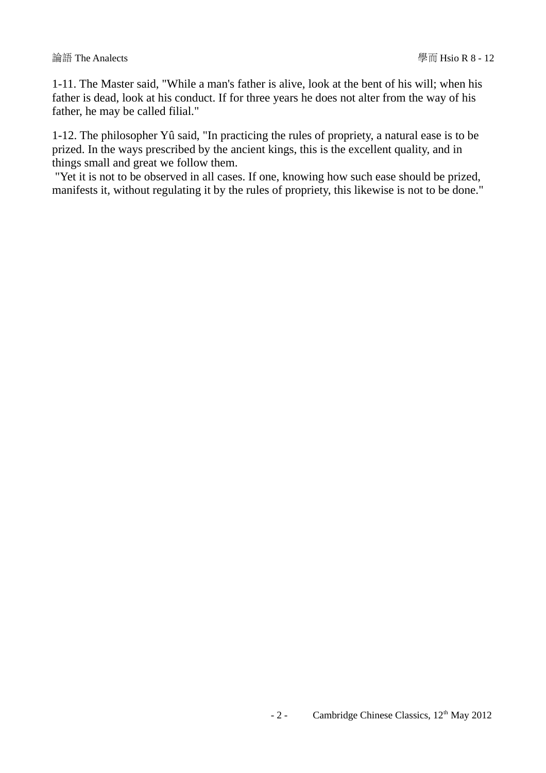1-11. The Master said, "While a man's father is alive, look at the bent of his will; when his father is dead, look at his conduct. If for three years he does not alter from the way of his father, he may be called filial."

1-12. The philosopher Yû said, "In practicing the rules of propriety, a natural ease is to be prized. In the ways prescribed by the ancient kings, this is the excellent quality, and in things small and great we follow them.

 "Yet it is not to be observed in all cases. If one, knowing how such ease should be prized, manifests it, without regulating it by the rules of propriety, this likewise is not to be done."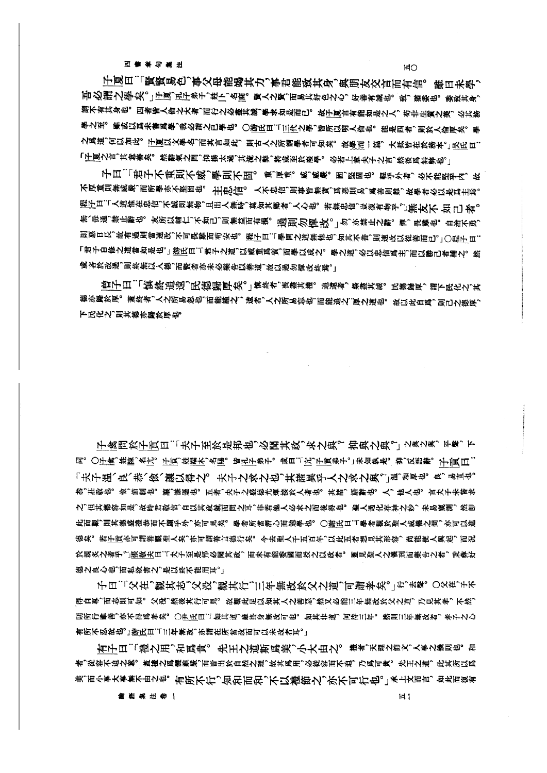四書章句集注

 $H<sub>O</sub>$ 

子夏曰:「賢賢易色,事父母能竭其力,事君能致其身,與朋友交言而有信。 雖曰未學, 吾必謂之學矣。」于厦,孔子弟子,姓卜,名商。賢人之賢,而易其好色之心,好善有誠也。致,猶委也。委致其身, 謂不有其身也。四者皆人倫之大者,而行之必盡其誠,學求如是而已。故予厦言有能如是之人,苟非生質之美,必其務 學之至。雖或以爲未嘗爲學,我必謂之已學也。○游氏曰:[11]代之學,皆所以明人倫也。能是四者,則於人倫厚矣。學 之爲道,何以加此。 子厦以文學名,而其言如此,則古人之所謂學者可知矣。故學而一篇,大抵皆在於務本。」吳氏曰: 「仔厦之言,其意善矣。然辭氣之間,抑揚太過,其流之弊,將或至於廢學。 必若上章夫子之言,然後爲無弊也。」

子曰:「君子不重則不威,學則不固。 重,厚重。 威,威嚴。 固,堅固也。 輕乎外者, 必不能堅乎内, 故 不厚重則無威嚴,而所學亦不堅固也。 主由心信。 人不忠信,則事皆無實,爲惡則易,爲善則難,故學者必以是爲主焉。 |||传||白:「人道惟在忠信,不誠則無物,且出人無時,莫知其鄉者,人心也。 若無忠信,豈復有物乎。」||無友||不 如 己 者。 無、毋通、禁止辭也。 友所以輔仁,不如己,則無益而有損。 過則 勿 憚 改。」勿,亦禁止之辭。 惲, 畏藥也。 自治不勇, 則惡日長,故有過則當速改,不可畏難而苟安也。程子曰...變問之道無他也,知其不善,則速改以從善而已。」○程子曰.. 「君子自修之道當如是也。」游氏曰:「君子之道,以威重爲質,而學以成之。 學之道,必以忠信爲主,而以勝己者輔之。 然 或吝於改過,則終無以人德,而賢者亦未必樂告以善道,故以過勿憚改終焉。」

曾子曰:「慎終追遠、民德歸厚矣。」慎終者、喪盡其禮。 追遠者,祭盡其誠。民德歸厚,謂下民化之,其 徳亦歸於厚。蓋終者,人之所易忽也,而能謹之; 遠者,人之所易忘也,而能追之:厚之道也。 故以此自爲,則己之德厚, 下民化之,則其德亦歸於厚也。

子禽問於子貢曰:「夫子至於是邦也,必聞其政,求之與? 抑與之與。」 之與之與,平聲,下 同。〇于禽,姓陳,名亢。 子頁,姓端木,名賜。 皆孔子弟子。 或曰:「亢,子頁弟子。」未知孰是。 抑,反語辭。 子言《曰: 「夫子温、良、恭、儉、讓以得之。 夫子之求之也,其諸異乎人之求之與?」溫,和厚也。 良,易直也。 恭,莊敬也。儉,節制也。讓,謙遜也。 五者,夫子之盛德光輝接於人者也。其諸,語辭也。人,他人也。 言夫子未嘗求 之,但其德容如是,故時君敬信,自以其政就而問之耳,非若他人必求之而後得也。 聖人過化存神之妙,未易窺測, 然卽 此而觀,則其德盛禮恭而不願乎外,亦可見矣。 學者所當潛心而勉學也。 〇謝氏曰:「學者觀於聖人威儀之間,亦可以進 德矣。若子貢亦可謂善艱聖人矣,亦可謂善言德行矣。 今去聖人千五百年,以此五者想見其形容, 尚能使人興起, 而況 於親炙之者乎?張敬夫曰:「夫子至是邦必聞其政,而未有能委國而授之以政者。蓋見聖人之儀刑而樂告之者,秉彝好 徳之良心也、而私欲害之、是以終不能用耳。

子曰:「父在、觀其志,父没,觀其行,三年無改於父之道,可謂孝矣。」行,去聲。 〇父在,子不 得自專,而志則可知。 父没,然後其行可見。 故觀此足以知其人之善惡,然又必能三年無改於父之道, 乃見其孝, 不然, 則所行雖善、亦不得爲孝矣。〇尹氏曰:「如其道、雖終身無改可也。如其非道,何待三年。然則三年無改者,孝子之心 有所不忍故也。」游氏曰:「三年無改,亦謂在所當改而可以未改者耳。」

有子曰:「禮之用,和爲貴。 先王之道斯爲美,小大由之。 禮者,天理之節文,人事之儀則也。 和 者,從容不迫之意。蓋禮之爲體雖嚴,而皆出於自然之理,故其爲用,必從容而不迫,乃爲可貴。先王之道, 此其所以爲 美,而小事大事無不由之也。有所不行,知和而和,不以禮節之,亦不可行也。」承上文而言,如此而復有

論語集注卷一

 $H1$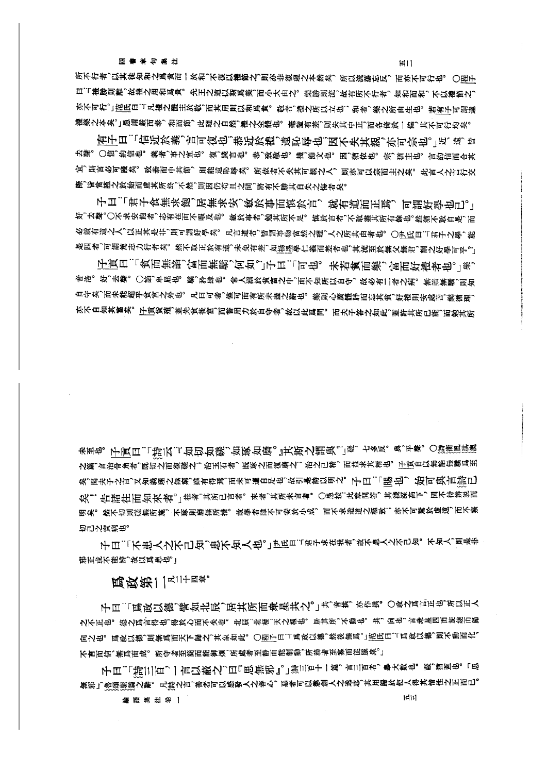#### 論語集注卷一

子曰:[詩三百,]言以蔽之,曰『思無邪』。]澹三百十一篇,言三百者,奉大數也。蔽,猶蓋也。 [思 無邪」愈頌願篇之辭。凡詩之言、善者可以感發人之善心,惡者可以懲創人之逸志、其用歸於使人得其情性之正而已。

 $H111$ 

子曰:「萬政以德、譬如北辰、居其所而衆星共之。」共、音共、亦作共。〇政之爲言正也、所以正人 之不正也。德之爲言得也,得於心而不失也。北辰,北極,天之樞也。居其所,不動也。共, 向也, 言衆星四面旋繞而歸 向之也。 爲政以德,則無爲而天下歸之,其象如此。〇假子曰...風政以德,然後無馬。」范氏曰... 馬政以德,則不動而化、 不言而信、無爲而成。 所守者至簡而能御煩、所處者至静而能制動、所務者至寡而能服衆。」

马攻第11411+四章。

四書章句集注

邪正或不能辨,故以馬患也。

切己之實病也。 子曰:「不患人之不己知,患不知人也。」尹氏曰:「君子求在我者,故不患人之不己知。不知人,則是非

未至也。子貢曰:「詩云。」「如切如磋,如琢如磨。」其斯之謂與。」谜,七多反。與、平聲。〇辯滴溫滋 之篇,言治骨角者,既切之而復磋之,治玉石者,既琢之而復磨之;治之已精,而益求其精也。 子寅自以無諂無驕爲至 矣,聞夫子之言,又知義理之無窮,雖有得焉,而未可遽自足也,故引是詩以明之。 子曰:「賜 也 , 始可 與言 詩已 矣! 告諸往而知來者。」往者,其所已言者。來者,其所未言者。○愚按:此章問答,其淺深高下,固不待辨說而 明矣。然不切則磋無所施,不琢則磨無所措。故學者雖不可安於小成,而不求造道之極致;亦不可驚於虚遠,而不察

子貢曰:「貧而無諂,富而無驕,何如,」子曰:「可也。未若貧而樂, 富而好禮者也。」樂, 音洛。好,去聲。〇諂,卑屈也。驕,矜肆也。常人溺於貧富之中,而不知所以自守,故必有二者之病。無諂無驕,則知 自守矣,而未能超乎貧富之外也。凡曰可者,僅可而有所未盡之辭也。樂則心廣體胖而忘其貧,好禮則安處善,樂循理, 亦不自知其富矣。 子貢貨殖,蓋先貧後富,而舊用力於自守者,故以此爲問。 而夫子答之如此,蓋許其所已能,而勉其所

有子曰:「信近於義,言可復也,恭近於禮,遠恥辱也,因不失其親,亦可宗也。」近、遠,皆 去聲。〇信,約信也。義者,事之宜也。復,踐言也。恭,致敬也。禮,節文也。因,猶依也。宗,猶主也。言約信而合其 宜,則言必可踐矣。致恭而中其節,則能遠恥辱矣。所依者不失其可親之人,則亦可以宗而主之矣。此言人之言行交 際,皆當謹之於始而慮其所終,不然,則因仍苟且之間,將有不勝其自失之悔者矣。

子曰:「君子食無求飽,居無求安,敏於事而慎於言, 就有道而正焉, 可謂好學也已。」 好,去聲。〇不求安飽者,志有在而不暇及也。 敏於事者,勉其所不足。 慎於言者,不敢盡其所有餘也。然猶不敢自是,而 必就有道之人,以正其是非,則可謂好學矣。 凡言道者,皆謂事物當然之理,人之所共由者也。 〇尹氏曰:「君子之學,能 是四者,可謂篤志力行者矣。然不取正於有道,未免有差,如楊遷學仁義而差者也,其流至於無父無君,謂之好學可乎?」

所不行者,以其徒知和之爲貴而一於和,不復以禮節之,則亦非復理之本然矣, 所以流蕩忘反, 而亦不可行也。 〇程子 曰:「禮勝則離,故禮之用和爲貴。先王之道以斯爲美,而小大由之。樂勝則流,故有所不行者, 知和而和, 不以禮節之, 亦不可行。」范氏曰:「凡禮之體主於敬,而其用則以和爲貴。敬者,德之所以立也; 和者,樂之所由生也。 若有子可謂達 禮樂之本矣。」愚謂嚴而泰,和而節,此理之自然,禮之全體也。 毫釐有差,則失其中正,而各倚於一偏,其不可行均矣。